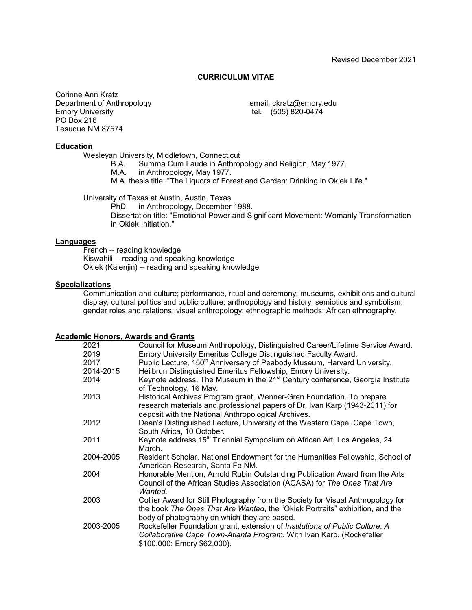### **CURRICULUM VITAE**

Corinne Ann Kratz Department of Anthropology<br>
Emory University<br>
Emory University<br>
email: ckratz@emory.edu<br>
tel. (505) 820-0474 PO Box 216 Tesuque NM 87574

tel. (505) 820-0474

### **Education**

Wesleyan University, Middletown, Connecticut<br>B.A. Summa Cum Laude in Anthrop

B.A. Summa Cum Laude in Anthropology and Religion, May 1977.<br>M.A. in Anthropology. May 1977.

in Anthropology, May 1977.

M.A. thesis title: "The Liquors of Forest and Garden: Drinking in Okiek Life."

University of Texas at Austin, Austin, Texas

PhD. in Anthropology, December 1988. Dissertation title: "Emotional Power and Significant Movement: Womanly Transformation in Okiek Initiation."

#### **Languages**

French -- reading knowledge Kiswahili -- reading and speaking knowledge Okiek (Kalenjin) -- reading and speaking knowledge

### **Specializations**

Communication and culture; performance, ritual and ceremony; museums, exhibitions and cultural display; cultural politics and public culture; anthropology and history; semiotics and symbolism; gender roles and relations; visual anthropology; ethnographic methods; African ethnography.

### **Academic Honors, Awards and Grants**

| 2021      | Council for Museum Anthropology, Distinguished Career/Lifetime Service Award.                                                                                                                                    |
|-----------|------------------------------------------------------------------------------------------------------------------------------------------------------------------------------------------------------------------|
| 2019      | Emory University Emeritus College Distinguished Faculty Award.                                                                                                                                                   |
| 2017      | Public Lecture, 150 <sup>th</sup> Anniversary of Peabody Museum, Harvard University.                                                                                                                             |
| 2014-2015 | Heilbrun Distinguished Emeritus Fellowship, Emory University.                                                                                                                                                    |
| 2014      | Keynote address, The Museum in the 21 <sup>st</sup> Century conference, Georgia Institute<br>of Technology, 16 May.                                                                                              |
| 2013      | Historical Archives Program grant, Wenner-Gren Foundation. To prepare<br>research materials and professional papers of Dr. Ivan Karp (1943-2011) for<br>deposit with the National Anthropological Archives.      |
| 2012      | Dean's Distinguished Lecture, University of the Western Cape, Cape Town,<br>South Africa, 10 October.                                                                                                            |
| 2011      | Keynote address, 15 <sup>th</sup> Triennial Symposium on African Art, Los Angeles, 24<br>March.                                                                                                                  |
| 2004-2005 | Resident Scholar, National Endowment for the Humanities Fellowship, School of<br>American Research, Santa Fe NM.                                                                                                 |
| 2004      | Honorable Mention, Arnold Rubin Outstanding Publication Award from the Arts<br>Council of the African Studies Association (ACASA) for The Ones That Are<br>Wanted.                                               |
| 2003      | Collier Award for Still Photography from the Society for Visual Anthropology for<br>the book The Ones That Are Wanted, the "Okiek Portraits" exhibition, and the<br>body of photography on which they are based. |
| 2003-2005 | Rockefeller Foundation grant, extension of Institutions of Public Culture: A<br>Collaborative Cape Town-Atlanta Program. With Ivan Karp. (Rockefeller<br>\$100,000; Emory \$62,000).                             |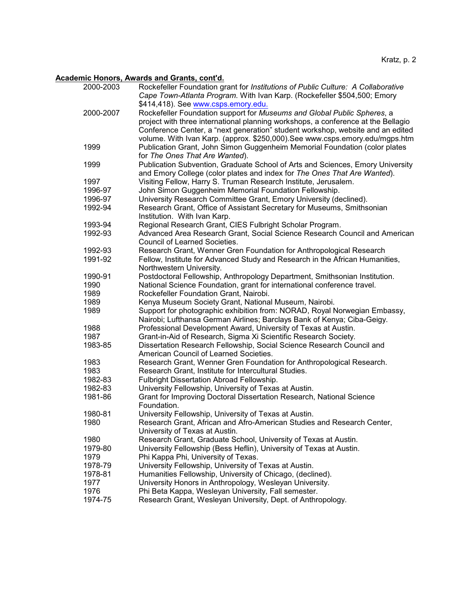# **Academic Honors, Awards and Grants, cont'd.**

| 2000-2003 | Rockefeller Foundation grant for Institutions of Public Culture: A Collaborative<br>Cape Town-Atlanta Program. With Ivan Karp. (Rockefeller \$504,500; Emory<br>\$414,418). See www.csps.emory.edu.                                            |
|-----------|------------------------------------------------------------------------------------------------------------------------------------------------------------------------------------------------------------------------------------------------|
| 2000-2007 | Rockefeller Foundation support for Museums and Global Public Spheres, a<br>project with three international planning workshops, a conference at the Bellagio<br>Conference Center, a "next generation" student workshop, website and an edited |
| 1999      | volume. With Ivan Karp. (approx. \$250,000). See www.csps.emory.edu/mgps.htm<br>Publication Grant, John Simon Guggenheim Memorial Foundation (color plates<br>for The Ones That Are Wanted).                                                   |
| 1999      | Publication Subvention, Graduate School of Arts and Sciences, Emory University<br>and Emory College (color plates and index for The Ones That Are Wanted).                                                                                     |
| 1997      | Visiting Fellow, Harry S. Truman Research Institute, Jerusalem.                                                                                                                                                                                |
| 1996-97   | John Simon Guggenheim Memorial Foundation Fellowship.                                                                                                                                                                                          |
| 1996-97   | University Research Committee Grant, Emory University (declined).                                                                                                                                                                              |
| 1992-94   | Research Grant, Office of Assistant Secretary for Museums, Smithsonian<br>Institution. With Ivan Karp.                                                                                                                                         |
| 1993-94   | Regional Research Grant, CIES Fulbright Scholar Program.                                                                                                                                                                                       |
| 1992-93   | Advanced Area Research Grant, Social Science Research Council and American<br><b>Council of Learned Societies.</b>                                                                                                                             |
| 1992-93   | Research Grant, Wenner Gren Foundation for Anthropological Research                                                                                                                                                                            |
| 1991-92   | Fellow, Institute for Advanced Study and Research in the African Humanities,<br>Northwestern University.                                                                                                                                       |
| 1990-91   | Postdoctoral Fellowship, Anthropology Department, Smithsonian Institution.                                                                                                                                                                     |
| 1990      | National Science Foundation, grant for international conference travel.                                                                                                                                                                        |
| 1989      | Rockefeller Foundation Grant, Nairobi.                                                                                                                                                                                                         |
| 1989      | Kenya Museum Society Grant, National Museum, Nairobi.                                                                                                                                                                                          |
| 1989      | Support for photographic exhibition from: NORAD, Royal Norwegian Embassy,<br>Nairobi; Lufthansa German Airlines; Barclays Bank of Kenya; Ciba-Geigy.                                                                                           |
| 1988      | Professional Development Award, University of Texas at Austin.                                                                                                                                                                                 |
| 1987      | Grant-in-Aid of Research, Sigma Xi Scientific Research Society.                                                                                                                                                                                |
| 1983-85   | Dissertation Research Fellowship, Social Science Research Council and<br>American Council of Learned Societies.                                                                                                                                |
| 1983      | Research Grant, Wenner Gren Foundation for Anthropological Research.                                                                                                                                                                           |
| 1983      | Research Grant, Institute for Intercultural Studies.                                                                                                                                                                                           |
| 1982-83   | Fulbright Dissertation Abroad Fellowship.                                                                                                                                                                                                      |
| 1982-83   | University Fellowship, University of Texas at Austin.                                                                                                                                                                                          |
| 1981-86   | Grant for Improving Doctoral Dissertation Research, National Science<br>Foundation.                                                                                                                                                            |
| 1980-81   | University Fellowship, University of Texas at Austin.                                                                                                                                                                                          |
| 1980      | Research Grant, African and Afro-American Studies and Research Center,<br>University of Texas at Austin.                                                                                                                                       |
| 1980      | Research Grant, Graduate School, University of Texas at Austin.                                                                                                                                                                                |
| 1979-80   | University Fellowship (Bess Heflin), University of Texas at Austin.                                                                                                                                                                            |
| 1979      | Phi Kappa Phi, University of Texas.                                                                                                                                                                                                            |
| 1978-79   | University Fellowship, University of Texas at Austin.                                                                                                                                                                                          |
| 1978-81   | Humanities Fellowship, University of Chicago, (declined).                                                                                                                                                                                      |
| 1977      | University Honors in Anthropology, Wesleyan University.                                                                                                                                                                                        |
| 1976      | Phi Beta Kappa, Wesleyan University, Fall semester.                                                                                                                                                                                            |
| 1974-75   | Research Grant, Wesleyan University, Dept. of Anthropology.                                                                                                                                                                                    |
|           |                                                                                                                                                                                                                                                |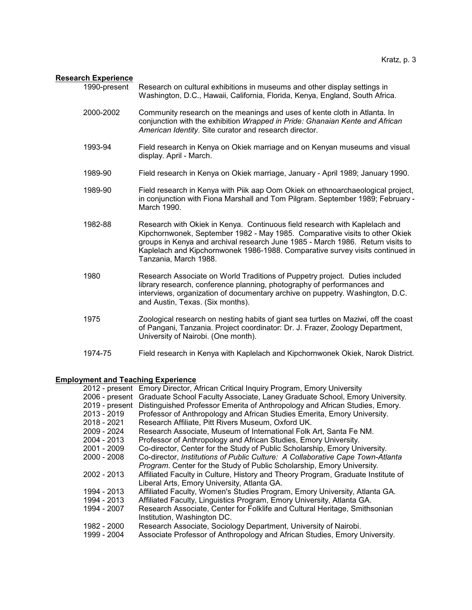### **Research Experience**

| 1990-present Research on cultural exhibitions in museums and other display settings in |
|----------------------------------------------------------------------------------------|
| Washington, D.C., Hawaii, California, Florida, Kenya, England, South Africa.           |

- 2000-2002 Community research on the meanings and uses of kente cloth in Atlanta. In conjunction with the exhibition *Wrapped in Pride: Ghanaian Kente and African American Identity*. Site curator and research director.
- 1993-94 Field research in Kenya on Okiek marriage and on Kenyan museums and visual display. April - March.
- 1989-90 Field research in Kenya on Okiek marriage, January April 1989; January 1990.
- 1989-90 Field research in Kenya with Piik aap Oom Okiek on ethnoarchaeological project, in conjunction with Fiona Marshall and Tom Pilgram. September 1989; February - March 1990.
- 1982-88 Research with Okiek in Kenya. Continuous field research with Kaplelach and Kipchornwonek, September 1982 - May 1985. Comparative visits to other Okiek groups in Kenya and archival research June 1985 - March 1986. Return visits to Kaplelach and Kipchornwonek 1986-1988. Comparative survey visits continued in Tanzania, March 1988.
- 1980 Research Associate on World Traditions of Puppetry project. Duties included library research, conference planning, photography of performances and interviews, organization of documentary archive on puppetry. Washington, D.C. and Austin, Texas. (Six months).
- 1975 Zoological research on nesting habits of giant sea turtles on Maziwi, off the coast of Pangani, Tanzania. Project coordinator: Dr. J. Frazer, Zoology Department, University of Nairobi. (One month).
- 1974-75 Field research in Kenya with Kaplelach and Kipchornwonek Okiek, Narok District.

### **Employment and Teaching Experience**

|                | 2012 - present Emory Director, African Critical Inquiry Program, Emory University |
|----------------|-----------------------------------------------------------------------------------|
| 2006 - present | Graduate School Faculty Associate, Laney Graduate School, Emory University.       |
| 2019 - present | Distinguished Professor Emerita of Anthropology and African Studies, Emory.       |
| 2013 - 2019    | Professor of Anthropology and African Studies Emerita, Emory University.          |
| 2018 - 2021    | Research Affiliate, Pitt Rivers Museum, Oxford UK.                                |
| 2009 - 2024    | Research Associate, Museum of International Folk Art, Santa Fe NM.                |
| 2004 - 2013    | Professor of Anthropology and African Studies, Emory University.                  |
| 2001 - 2009    | Co-director, Center for the Study of Public Scholarship, Emory University.        |
| 2000 - 2008    | Co-director, Institutions of Public Culture: A Collaborative Cape Town-Atlanta    |
|                | Program. Center for the Study of Public Scholarship, Emory University.            |
| 2002 - 2013    | Affiliated Faculty in Culture, History and Theory Program, Graduate Institute of  |
|                | Liberal Arts, Emory University, Atlanta GA.                                       |
| 1994 - 2013    | Affiliated Faculty, Women's Studies Program, Emory University, Atlanta GA.        |
| 1994 - 2013    | Affiliated Faculty, Linguistics Program, Emory University, Atlanta GA.            |
| 1994 - 2007    | Research Associate, Center for Folklife and Cultural Heritage, Smithsonian        |
|                | Institution, Washington DC.                                                       |
| 1982 - 2000    | Research Associate, Sociology Department, University of Nairobi.                  |
| 1999 - 2004    | Associate Professor of Anthropology and African Studies, Emory University.        |
|                |                                                                                   |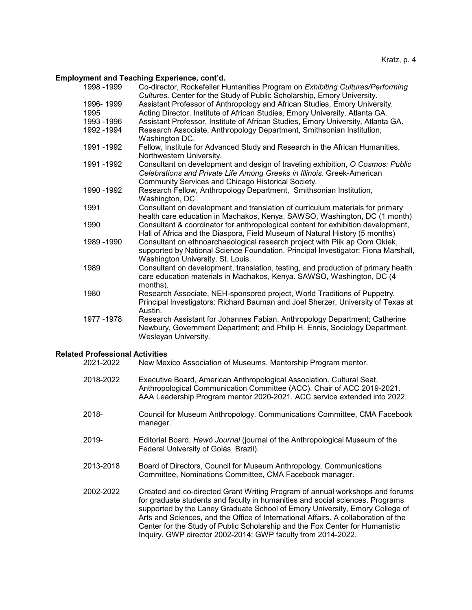# **Employment and Teaching Experience, cont'd.**

|                                        | <u>Employment and Teaching Experience, com a.</u>                                                          |
|----------------------------------------|------------------------------------------------------------------------------------------------------------|
| 1998 - 1999                            | Co-director, Rockefeller Humanities Program on Exhibiting Cultures/Performing                              |
|                                        | Cultures. Center for the Study of Public Scholarship, Emory University.                                    |
| 1996-1999                              | Assistant Professor of Anthropology and African Studies, Emory University.                                 |
| 1995                                   | Acting Director, Institute of African Studies, Emory University, Atlanta GA.                               |
| 1993 - 1996                            | Assistant Professor, Institute of African Studies, Emory University, Atlanta GA.                           |
| 1992 - 1994                            | Research Associate, Anthropology Department, Smithsonian Institution,                                      |
|                                        | Washington DC.                                                                                             |
| 1991 - 1992                            | Fellow, Institute for Advanced Study and Research in the African Humanities,                               |
|                                        | Northwestern University.<br>Consultant on development and design of traveling exhibition, O Cosmos: Public |
| 1991 - 1992                            | Celebrations and Private Life Among Greeks in Illinois. Greek-American                                     |
|                                        | Community Services and Chicago Historical Society.                                                         |
| 1990 - 1992                            | Research Fellow, Anthropology Department, Smithsonian Institution,                                         |
|                                        | Washington, DC                                                                                             |
| 1991                                   | Consultant on development and translation of curriculum materials for primary                              |
|                                        | health care education in Machakos, Kenya. SAWSO, Washington, DC (1 month)                                  |
| 1990                                   | Consultant & coordinator for anthropological content for exhibition development,                           |
|                                        | Hall of Africa and the Diaspora, Field Museum of Natural History (5 months)                                |
| 1989 - 1990                            | Consultant on ethnoarchaeological research project with Piik ap Oom Okiek,                                 |
|                                        | supported by National Science Foundation. Principal Investigator: Fiona Marshall,                          |
|                                        | Washington University, St. Louis.                                                                          |
| 1989                                   | Consultant on development, translation, testing, and production of primary health                          |
|                                        | care education materials in Machakos, Kenya. SAWSO, Washington, DC (4                                      |
|                                        | months).                                                                                                   |
| 1980                                   | Research Associate, NEH-sponsored project, World Traditions of Puppetry.                                   |
|                                        | Principal Investigators: Richard Bauman and Joel Sherzer, University of Texas at                           |
|                                        | Austin.                                                                                                    |
| 1977 - 1978                            | Research Assistant for Johannes Fabian, Anthropology Department; Catherine                                 |
|                                        | Newbury, Government Department; and Philip H. Ennis, Sociology Department,                                 |
|                                        | Wesleyan University.                                                                                       |
|                                        |                                                                                                            |
| <b>Related Professional Activities</b> |                                                                                                            |
| 2021-2022                              | New Mexico Association of Museums. Mentorship Program mentor.                                              |
|                                        |                                                                                                            |
| 2018-2022                              | Executive Board, American Anthropological Association. Cultural Seat.                                      |
|                                        | Anthropological Communication Committee (ACC). Chair of ACC 2019-2021.                                     |
|                                        | AAA Leadership Program mentor 2020-2021. ACC service extended into 2022.                                   |
|                                        |                                                                                                            |
| 2018-                                  | Council for Museum Anthropology. Communications Committee, CMA Facebook                                    |
|                                        | manager.                                                                                                   |
| 2019-                                  | Editorial Board, Hawò Journal (journal of the Anthropological Museum of the                                |
|                                        | Federal University of Goiás, Brazil).                                                                      |
|                                        |                                                                                                            |
| 2013-2018                              | Board of Directors, Council for Museum Anthropology. Communications                                        |
|                                        | Committee, Nominations Committee, CMA Facebook manager.                                                    |
|                                        |                                                                                                            |
| 2002-2022                              | Created and co-directed Grant Writing Program of annual workshops and forums                               |
|                                        | for graduate students and faculty in humanities and social sciences. Programs                              |
|                                        | supported by the Laney Graduate School of Emory University, Emory College of                               |
|                                        | Arts and Sciences, and the Office of International Affairs. A collaboration of the                         |
|                                        | Center for the Study of Public Scholarship and the Fox Center for Humanistic                               |
|                                        | Inquiry. GWP director 2002-2014; GWP faculty from 2014-2022.                                               |
|                                        |                                                                                                            |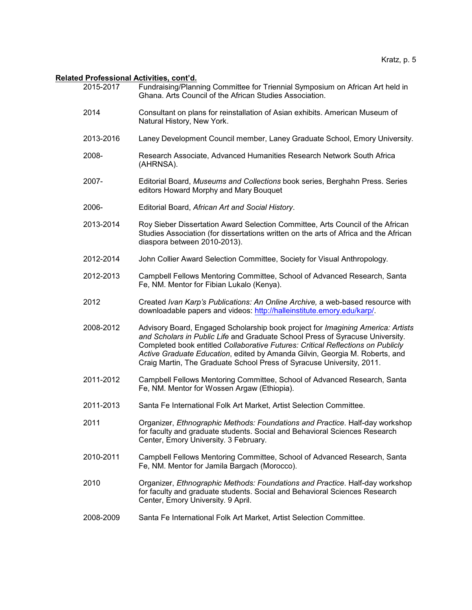# **Related Professional Activities, cont'd.**

| 2015-2017 | u FIUIUSSIUIIAI AUUVILIUS, UUIIL U.<br>Fundraising/Planning Committee for Triennial Symposium on African Art held in<br>Ghana, Arts Council of the African Studies Association.                                                                                                                                                                                                                             |
|-----------|-------------------------------------------------------------------------------------------------------------------------------------------------------------------------------------------------------------------------------------------------------------------------------------------------------------------------------------------------------------------------------------------------------------|
| 2014      | Consultant on plans for reinstallation of Asian exhibits. American Museum of<br>Natural History, New York.                                                                                                                                                                                                                                                                                                  |
| 2013-2016 | Laney Development Council member, Laney Graduate School, Emory University.                                                                                                                                                                                                                                                                                                                                  |
| 2008-     | Research Associate, Advanced Humanities Research Network South Africa<br>(AHRNSA).                                                                                                                                                                                                                                                                                                                          |
| 2007-     | Editorial Board, Museums and Collections book series, Berghahn Press. Series<br>editors Howard Morphy and Mary Bouquet                                                                                                                                                                                                                                                                                      |
| 2006-     | Editorial Board, African Art and Social History.                                                                                                                                                                                                                                                                                                                                                            |
| 2013-2014 | Roy Sieber Dissertation Award Selection Committee, Arts Council of the African<br>Studies Association (for dissertations written on the arts of Africa and the African<br>diaspora between 2010-2013).                                                                                                                                                                                                      |
| 2012-2014 | John Collier Award Selection Committee, Society for Visual Anthropology.                                                                                                                                                                                                                                                                                                                                    |
| 2012-2013 | Campbell Fellows Mentoring Committee, School of Advanced Research, Santa<br>Fe, NM. Mentor for Fibian Lukalo (Kenya).                                                                                                                                                                                                                                                                                       |
| 2012      | Created Ivan Karp's Publications: An Online Archive, a web-based resource with<br>downloadable papers and videos: http://halleinstitute.emory.edu/karp/.                                                                                                                                                                                                                                                    |
| 2008-2012 | Advisory Board, Engaged Scholarship book project for Imagining America: Artists<br>and Scholars in Public Life and Graduate School Press of Syracuse University.<br>Completed book entitled Collaborative Futures: Critical Reflections on Publicly<br>Active Graduate Education, edited by Amanda Gilvin, Georgia M. Roberts, and<br>Craig Martin, The Graduate School Press of Syracuse University, 2011. |
| 2011-2012 | Campbell Fellows Mentoring Committee, School of Advanced Research, Santa<br>Fe, NM. Mentor for Wossen Argaw (Ethiopia).                                                                                                                                                                                                                                                                                     |
| 2011-2013 | Santa Fe International Folk Art Market, Artist Selection Committee.                                                                                                                                                                                                                                                                                                                                         |
| 2011      | Organizer, Ethnographic Methods: Foundations and Practice. Half-day workshop<br>for faculty and graduate students. Social and Behavioral Sciences Research<br>Center, Emory University. 3 February.                                                                                                                                                                                                         |
| 2010-2011 | Campbell Fellows Mentoring Committee, School of Advanced Research, Santa<br>Fe, NM. Mentor for Jamila Bargach (Morocco).                                                                                                                                                                                                                                                                                    |
| 2010      | Organizer, Ethnographic Methods: Foundations and Practice. Half-day workshop<br>for faculty and graduate students. Social and Behavioral Sciences Research<br>Center, Emory University. 9 April.                                                                                                                                                                                                            |
| 2008-2009 | Santa Fe International Folk Art Market, Artist Selection Committee.                                                                                                                                                                                                                                                                                                                                         |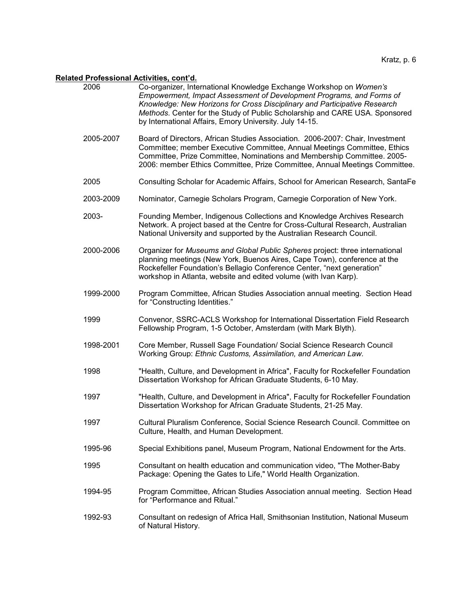# **Related Professional Activities, cont'd.**

| 2006      | Co-organizer, International Knowledge Exchange Workshop on Women's<br>Empowerment, Impact Assessment of Development Programs, and Forms of<br>Knowledge: New Horizons for Cross Disciplinary and Participative Research<br>Methods. Center for the Study of Public Scholarship and CARE USA. Sponsored<br>by International Affairs, Emory University. July 14-15. |
|-----------|-------------------------------------------------------------------------------------------------------------------------------------------------------------------------------------------------------------------------------------------------------------------------------------------------------------------------------------------------------------------|
| 2005-2007 | Board of Directors, African Studies Association. 2006-2007: Chair, Investment<br>Committee; member Executive Committee, Annual Meetings Committee, Ethics<br>Committee, Prize Committee, Nominations and Membership Committee. 2005-<br>2006: member Ethics Committee, Prize Committee, Annual Meetings Committee.                                                |
| 2005      | Consulting Scholar for Academic Affairs, School for American Research, SantaFe                                                                                                                                                                                                                                                                                    |
| 2003-2009 | Nominator, Carnegie Scholars Program, Carnegie Corporation of New York.                                                                                                                                                                                                                                                                                           |
| 2003-     | Founding Member, Indigenous Collections and Knowledge Archives Research<br>Network. A project based at the Centre for Cross-Cultural Research, Australian<br>National University and supported by the Australian Research Council.                                                                                                                                |
| 2000-2006 | Organizer for Museums and Global Public Spheres project: three international<br>planning meetings (New York, Buenos Aires, Cape Town), conference at the<br>Rockefeller Foundation's Bellagio Conference Center, "next generation"<br>workshop in Atlanta, website and edited volume (with Ivan Karp).                                                            |
| 1999-2000 | Program Committee, African Studies Association annual meeting. Section Head<br>for "Constructing Identities."                                                                                                                                                                                                                                                     |
| 1999      | Convenor, SSRC-ACLS Workshop for International Dissertation Field Research<br>Fellowship Program, 1-5 October, Amsterdam (with Mark Blyth).                                                                                                                                                                                                                       |
| 1998-2001 | Core Member, Russell Sage Foundation/ Social Science Research Council<br>Working Group: Ethnic Customs, Assimilation, and American Law.                                                                                                                                                                                                                           |
| 1998      | "Health, Culture, and Development in Africa", Faculty for Rockefeller Foundation<br>Dissertation Workshop for African Graduate Students, 6-10 May.                                                                                                                                                                                                                |
| 1997      | "Health, Culture, and Development in Africa", Faculty for Rockefeller Foundation<br>Dissertation Workshop for African Graduate Students, 21-25 May.                                                                                                                                                                                                               |
| 1997      | Cultural Pluralism Conference, Social Science Research Council. Committee on<br>Culture, Health, and Human Development.                                                                                                                                                                                                                                           |
| 1995-96   | Special Exhibitions panel, Museum Program, National Endowment for the Arts.                                                                                                                                                                                                                                                                                       |
| 1995      | Consultant on health education and communication video, "The Mother-Baby<br>Package: Opening the Gates to Life," World Health Organization.                                                                                                                                                                                                                       |
| 1994-95   | Program Committee, African Studies Association annual meeting. Section Head<br>for "Performance and Ritual."                                                                                                                                                                                                                                                      |
| 1992-93   | Consultant on redesign of Africa Hall, Smithsonian Institution, National Museum<br>of Natural History.                                                                                                                                                                                                                                                            |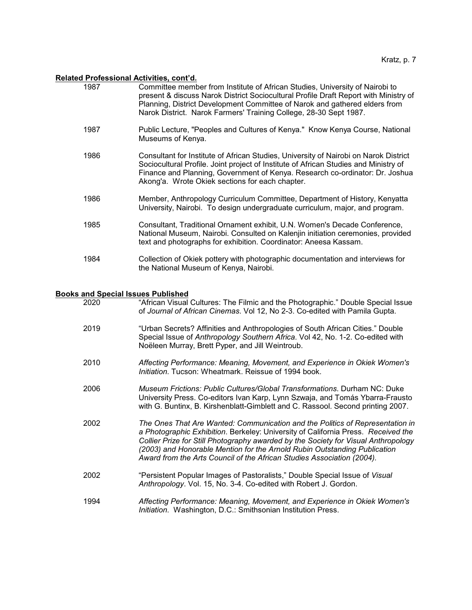# **Related Professional Activities, cont'd.**

| 1987 | Committee member from Institute of African Studies, University of Nairobi to<br>present & discuss Narok District Sociocultural Profile Draft Report with Ministry of<br>Planning, District Development Committee of Narok and gathered elders from<br>Narok District. Narok Farmers' Training College, 28-30 Sept 1987. |
|------|-------------------------------------------------------------------------------------------------------------------------------------------------------------------------------------------------------------------------------------------------------------------------------------------------------------------------|
| 1987 | Public Lecture, "Peoples and Cultures of Kenya." Know Kenya Course, National<br>Museums of Kenya.                                                                                                                                                                                                                       |
| 1986 | Consultant for Institute of African Studies, University of Nairobi on Narok District<br>Sociocultural Profile. Joint project of Institute of African Studies and Ministry of<br>Finance and Planning, Government of Kenya. Research co-ordinator: Dr. Joshua<br>Akong'a. Wrote Okiek sections for each chapter.         |
| 1986 | Member, Anthropology Curriculum Committee, Department of History, Kenyatta<br>University, Nairobi. To design undergraduate curriculum, major, and program.                                                                                                                                                              |
| 1985 | Consultant, Traditional Ornament exhibit, U.N. Women's Decade Conference,<br>National Museum, Nairobi. Consulted on Kalenjin initiation ceremonies, provided<br>text and photographs for exhibition. Coordinator: Aneesa Kassam.                                                                                        |
| 1984 | Collection of Okiek pottery with photographic documentation and interviews for<br>the National Museum of Kenya, Nairobi.                                                                                                                                                                                                |
|      |                                                                                                                                                                                                                                                                                                                         |

# **Books and Special Issues Published**

| 2020 | "African Visual Cultures: The Filmic and the Photographic." Double Special Issue<br>of Journal of African Cinemas. Vol 12, No 2-3. Co-edited with Pamila Gupta.                                                                                                                                                                                                                                                 |
|------|-----------------------------------------------------------------------------------------------------------------------------------------------------------------------------------------------------------------------------------------------------------------------------------------------------------------------------------------------------------------------------------------------------------------|
| 2019 | "Urban Secrets? Affinities and Anthropologies of South African Cities." Double<br>Special Issue of Anthropology Southern Africa. Vol 42, No. 1-2. Co-edited with<br>Noëleen Murray, Brett Pyper, and Jill Weintroub.                                                                                                                                                                                            |
| 2010 | Affecting Performance: Meaning, Movement, and Experience in Okiek Women's<br>Initiation. Tucson: Wheatmark. Reissue of 1994 book.                                                                                                                                                                                                                                                                               |
| 2006 | Museum Frictions: Public Cultures/Global Transformations. Durham NC: Duke<br>University Press. Co-editors Ivan Karp, Lynn Szwaja, and Tomás Ybarra-Frausto<br>with G. Buntinx, B. Kirshenblatt-Gimblett and C. Rassool. Second printing 2007.                                                                                                                                                                   |
| 2002 | The Ones That Are Wanted: Communication and the Politics of Representation in<br>a Photographic Exhibition. Berkeley: University of California Press. Received the<br>Collier Prize for Still Photography awarded by the Society for Visual Anthropology<br>(2003) and Honorable Mention for the Arnold Rubin Outstanding Publication<br>Award from the Arts Council of the African Studies Association (2004). |
| 2002 | "Persistent Popular Images of Pastoralists," Double Special Issue of Visual<br>Anthropology. Vol. 15, No. 3-4. Co-edited with Robert J. Gordon.                                                                                                                                                                                                                                                                 |
| 1994 | Affecting Performance: Meaning, Movement, and Experience in Okiek Women's<br>Initiation. Washington, D.C.: Smithsonian Institution Press.                                                                                                                                                                                                                                                                       |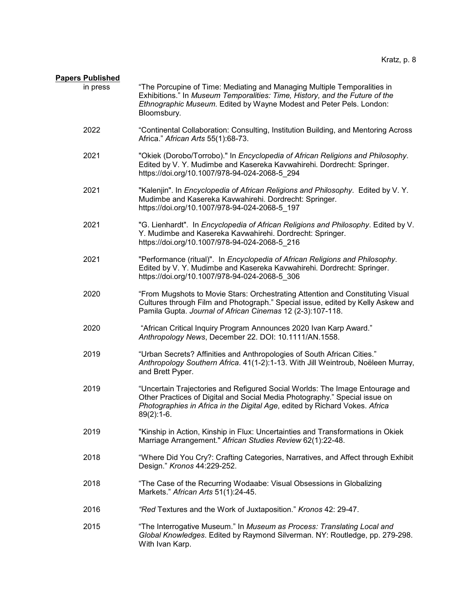# **Papers Published**

| ers Fublistied<br>in press | "The Porcupine of Time: Mediating and Managing Multiple Temporalities in                                                                                                                                                                                  |
|----------------------------|-----------------------------------------------------------------------------------------------------------------------------------------------------------------------------------------------------------------------------------------------------------|
|                            | Exhibitions." In Museum Temporalities: Time, History, and the Future of the<br>Ethnographic Museum. Edited by Wayne Modest and Peter Pels. London:<br>Bloomsbury.                                                                                         |
| 2022                       | "Continental Collaboration: Consulting, Institution Building, and Mentoring Across<br>Africa." African Arts 55(1):68-73.                                                                                                                                  |
| 2021                       | "Okiek (Dorobo/Torrobo)." In Encyclopedia of African Religions and Philosophy.<br>Edited by V. Y. Mudimbe and Kasereka Kavwahirehi. Dordrecht: Springer.<br>https://doi.org/10.1007/978-94-024-2068-5_294                                                 |
| 2021                       | "Kalenjin". In Encyclopedia of African Religions and Philosophy. Edited by V.Y.<br>Mudimbe and Kasereka Kavwahirehi. Dordrecht: Springer.<br>https://doi.org/10.1007/978-94-024-2068-5_197                                                                |
| 2021                       | "G. Lienhardt". In Encyclopedia of African Religions and Philosophy. Edited by V.<br>Y. Mudimbe and Kasereka Kavwahirehi. Dordrecht: Springer.<br>https://doi.org/10.1007/978-94-024-2068-5 216                                                           |
| 2021                       | "Performance (ritual)". In Encyclopedia of African Religions and Philosophy.<br>Edited by V. Y. Mudimbe and Kasereka Kavwahirehi. Dordrecht: Springer.<br>https://doi.org/10.1007/978-94-024-2068-5 306                                                   |
| 2020                       | "From Mugshots to Movie Stars: Orchestrating Attention and Constituting Visual<br>Cultures through Film and Photograph." Special issue, edited by Kelly Askew and<br>Pamila Gupta. Journal of African Cinemas 12 (2-3):107-118.                           |
| 2020                       | "African Critical Inquiry Program Announces 2020 Ivan Karp Award."<br>Anthropology News, December 22. DOI: 10.1111/AN.1558.                                                                                                                               |
| 2019                       | "Urban Secrets? Affinities and Anthropologies of South African Cities."<br>Anthropology Southern Africa. 41(1-2):1-13. With Jill Weintroub, Noëleen Murray,<br>and Brett Pyper.                                                                           |
| 2019                       | "Uncertain Trajectories and Refigured Social Worlds: The Image Entourage and<br>Other Practices of Digital and Social Media Photography." Special issue on<br>Photographies in Africa in the Digital Age, edited by Richard Vokes. Africa<br>$89(2):1-6.$ |
| 2019                       | "Kinship in Action, Kinship in Flux: Uncertainties and Transformations in Okiek<br>Marriage Arrangement." African Studies Review 62(1):22-48.                                                                                                             |
| 2018                       | "Where Did You Cry?: Crafting Categories, Narratives, and Affect through Exhibit<br>Design." Kronos 44:229-252.                                                                                                                                           |
| 2018                       | "The Case of the Recurring Wodaabe: Visual Obsessions in Globalizing<br>Markets." African Arts 51(1):24-45.                                                                                                                                               |
| 2016                       | "Red Textures and the Work of Juxtaposition." Kronos 42: 29-47.                                                                                                                                                                                           |
| 2015                       | "The Interrogative Museum." In Museum as Process: Translating Local and<br>Global Knowledges. Edited by Raymond Silverman. NY: Routledge, pp. 279-298.<br>With Ivan Karp.                                                                                 |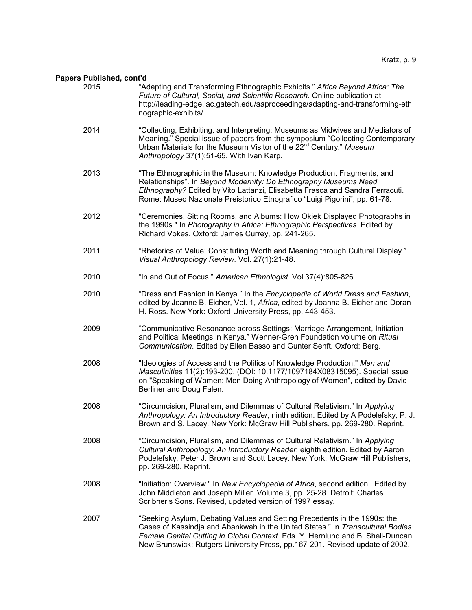| 2015 | "Adapting and Transforming Ethnographic Exhibits." Africa Beyond Africa: The<br>Future of Cultural, Social, and Scientific Research. Online publication at<br>http://leading-edge.iac.gatech.edu/aaproceedings/adapting-and-transforming-eth<br>nographic-exhibits/.                                                            |
|------|---------------------------------------------------------------------------------------------------------------------------------------------------------------------------------------------------------------------------------------------------------------------------------------------------------------------------------|
| 2014 | "Collecting, Exhibiting, and Interpreting: Museums as Midwives and Mediators of<br>Meaning." Special issue of papers from the symposium "Collecting Contemporary<br>Urban Materials for the Museum Visitor of the 22 <sup>nd</sup> Century." Museum<br>Anthropology 37(1):51-65. With Ivan Karp.                                |
| 2013 | "The Ethnographic in the Museum: Knowledge Production, Fragments, and<br>Relationships". In Beyond Modernity: Do Ethnography Museums Need<br>Ethnography? Edited by Vito Lattanzi, Elisabetta Frasca and Sandra Ferracuti.<br>Rome: Museo Nazionale Preistorico Etnografico "Luigi Pigorini", pp. 61-78.                        |
| 2012 | "Ceremonies, Sitting Rooms, and Albums: How Okiek Displayed Photographs in<br>the 1990s." In Photography in Africa: Ethnographic Perspectives. Edited by<br>Richard Vokes. Oxford: James Currey, pp. 241-265.                                                                                                                   |
| 2011 | "Rhetorics of Value: Constituting Worth and Meaning through Cultural Display."<br>Visual Anthropology Review. Vol. 27(1):21-48.                                                                                                                                                                                                 |
| 2010 | "In and Out of Focus." American Ethnologist. Vol 37(4):805-826.                                                                                                                                                                                                                                                                 |
| 2010 | "Dress and Fashion in Kenya." In the Encyclopedia of World Dress and Fashion,<br>edited by Joanne B. Eicher, Vol. 1, Africa, edited by Joanna B. Eicher and Doran<br>H. Ross. New York: Oxford University Press, pp. 443-453.                                                                                                   |
| 2009 | "Communicative Resonance across Settings: Marriage Arrangement, Initiation<br>and Political Meetings in Kenya." Wenner-Gren Foundation volume on Ritual<br>Communication. Edited by Ellen Basso and Gunter Senft. Oxford: Berg.                                                                                                 |
| 2008 | "Ideologies of Access and the Politics of Knowledge Production." Men and<br>Masculinities 11(2):193-200, (DOI: 10.1177/1097184X08315095). Special issue<br>on "Speaking of Women: Men Doing Anthropology of Women", edited by David<br>Berliner and Doug Falen.                                                                 |
| 2008 | "Circumcision, Pluralism, and Dilemmas of Cultural Relativism." In Applying<br>Anthropology: An Introductory Reader, ninth edition. Edited by A Podelefsky, P. J.<br>Brown and S. Lacey. New York: McGraw Hill Publishers, pp. 269-280. Reprint.                                                                                |
| 2008 | "Circumcision, Pluralism, and Dilemmas of Cultural Relativism." In Applying<br>Cultural Anthropology: An Introductory Reader, eighth edition. Edited by Aaron<br>Podelefsky, Peter J. Brown and Scott Lacey. New York: McGraw Hill Publishers,<br>pp. 269-280. Reprint.                                                         |
| 2008 | "Initiation: Overview." In New Encyclopedia of Africa, second edition. Edited by<br>John Middleton and Joseph Miller. Volume 3, pp. 25-28. Detroit: Charles<br>Scribner's Sons. Revised, updated version of 1997 essay.                                                                                                         |
| 2007 | "Seeking Asylum, Debating Values and Setting Precedents in the 1990s: the<br>Cases of Kassindja and Abankwah in the United States." In Transcultural Bodies:<br>Female Genital Cutting in Global Context. Eds. Y. Hernlund and B. Shell-Duncan.<br>New Brunswick: Rutgers University Press, pp.167-201. Revised update of 2002. |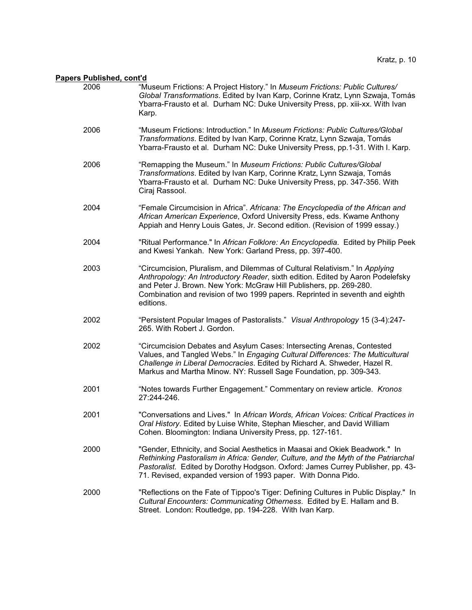| <u>cıs ruplislicu, culit u</u> |                                                                                                                                                                                                                                                                                                                                   |
|--------------------------------|-----------------------------------------------------------------------------------------------------------------------------------------------------------------------------------------------------------------------------------------------------------------------------------------------------------------------------------|
| 2006                           | "Museum Frictions: A Project History." In Museum Frictions: Public Cultures/<br>Global Transformations. Edited by Ivan Karp, Corinne Kratz, Lynn Szwaja, Tomás<br>Ybarra-Frausto et al. Durham NC: Duke University Press, pp. xiii-xx. With Ivan<br>Karp.                                                                         |
| 2006                           | "Museum Frictions: Introduction." In Museum Frictions: Public Cultures/Global<br>Transformations. Edited by Ivan Karp, Corinne Kratz, Lynn Szwaja, Tomás<br>Ybarra-Frausto et al. Durham NC: Duke University Press, pp.1-31. With I. Karp.                                                                                        |
| 2006                           | "Remapping the Museum." In Museum Frictions: Public Cultures/Global<br>Transformations. Edited by Ivan Karp, Corinne Kratz, Lynn Szwaja, Tomás<br>Ybarra-Frausto et al. Durham NC: Duke University Press, pp. 347-356. With<br>Ciraj Rassool.                                                                                     |
| 2004                           | "Female Circumcision in Africa". Africana: The Encyclopedia of the African and<br>African American Experience, Oxford University Press, eds. Kwame Anthony<br>Appiah and Henry Louis Gates, Jr. Second edition. (Revision of 1999 essay.)                                                                                         |
| 2004                           | "Ritual Performance." In African Folklore: An Encyclopedia. Edited by Philip Peek<br>and Kwesi Yankah. New York: Garland Press, pp. 397-400.                                                                                                                                                                                      |
| 2003                           | "Circumcision, Pluralism, and Dilemmas of Cultural Relativism." In Applying<br>Anthropology: An Introductory Reader, sixth edition. Edited by Aaron Podelefsky<br>and Peter J. Brown. New York: McGraw Hill Publishers, pp. 269-280.<br>Combination and revision of two 1999 papers. Reprinted in seventh and eighth<br>editions. |
| 2002                           | "Persistent Popular Images of Pastoralists." Visual Anthropology 15 (3-4):247-<br>265. With Robert J. Gordon.                                                                                                                                                                                                                     |
| 2002                           | "Circumcision Debates and Asylum Cases: Intersecting Arenas, Contested<br>Values, and Tangled Webs." In Engaging Cultural Differences: The Multicultural<br>Challenge in Liberal Democracies. Edited by Richard A. Shweder, Hazel R.<br>Markus and Martha Minow. NY: Russell Sage Foundation, pp. 309-343.                        |
| 2001                           | "Notes towards Further Engagement." Commentary on review article. Kronos<br>27:244-246.                                                                                                                                                                                                                                           |
| 2001                           | "Conversations and Lives." In African Words, African Voices: Critical Practices in<br>Oral History. Edited by Luise White, Stephan Miescher, and David William<br>Cohen. Bloomington: Indiana University Press, pp. 127-161.                                                                                                      |
| 2000                           | "Gender, Ethnicity, and Social Aesthetics in Maasai and Okiek Beadwork." In<br>Rethinking Pastoralism in Africa: Gender, Culture, and the Myth of the Patriarchal<br>Pastoralist. Edited by Dorothy Hodgson. Oxford: James Currey Publisher, pp. 43-<br>71. Revised, expanded version of 1993 paper. With Donna Pido.             |
| 2000                           | "Reflections on the Fate of Tippoo's Tiger: Defining Cultures in Public Display." In<br>Cultural Encounters: Communicating Otherness. Edited by E. Hallam and B.<br>Street. London: Routledge, pp. 194-228. With Ivan Karp.                                                                                                       |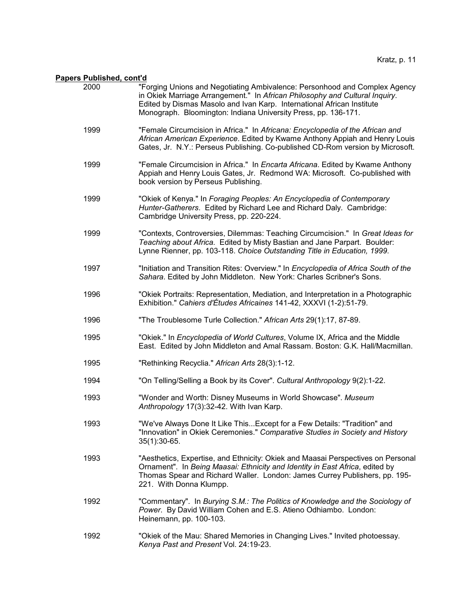| 2000 | "Forging Unions and Negotiating Ambivalence: Personhood and Complex Agency<br>in Okiek Marriage Arrangement." In African Philosophy and Cultural Inquiry.<br>Edited by Dismas Masolo and Ivan Karp. International African Institute<br>Monograph. Bloomington: Indiana University Press, pp. 136-171. |
|------|-------------------------------------------------------------------------------------------------------------------------------------------------------------------------------------------------------------------------------------------------------------------------------------------------------|
| 1999 | "Female Circumcision in Africa." In Africana: Encyclopedia of the African and<br>African American Experience. Edited by Kwame Anthony Appiah and Henry Louis<br>Gates, Jr. N.Y.: Perseus Publishing. Co-published CD-Rom version by Microsoft.                                                        |
| 1999 | "Female Circumcision in Africa." In Encarta Africana. Edited by Kwame Anthony<br>Appiah and Henry Louis Gates, Jr. Redmond WA: Microsoft. Co-published with<br>book version by Perseus Publishing.                                                                                                    |
| 1999 | "Okiek of Kenya." In Foraging Peoples: An Encyclopedia of Contemporary<br>Hunter-Gatherers. Edited by Richard Lee and Richard Daly. Cambridge:<br>Cambridge University Press, pp. 220-224.                                                                                                            |
| 1999 | "Contexts, Controversies, Dilemmas: Teaching Circumcision." In Great Ideas for<br>Teaching about Africa. Edited by Misty Bastian and Jane Parpart. Boulder:<br>Lynne Rienner, pp. 103-118. Choice Outstanding Title in Education, 1999.                                                               |
| 1997 | "Initiation and Transition Rites: Overview." In Encyclopedia of Africa South of the<br>Sahara. Edited by John Middleton. New York: Charles Scribner's Sons.                                                                                                                                           |
| 1996 | "Okiek Portraits: Representation, Mediation, and Interpretation in a Photographic<br>Exhibition." Cahiers d'Études Africaines 141-42, XXXVI (1-2):51-79.                                                                                                                                              |
| 1996 | "The Troublesome Turle Collection." African Arts 29(1):17, 87-89.                                                                                                                                                                                                                                     |
| 1995 | "Okiek." In Encyclopedia of World Cultures, Volume IX, Africa and the Middle<br>East. Edited by John Middleton and Amal Rassam. Boston: G.K. Hall/Macmillan.                                                                                                                                          |
| 1995 | "Rethinking Recyclia." African Arts 28(3):1-12.                                                                                                                                                                                                                                                       |
| 1994 | "On Telling/Selling a Book by its Cover". Cultural Anthropology 9(2):1-22.                                                                                                                                                                                                                            |
| 1993 | "Wonder and Worth: Disney Museums in World Showcase". Museum<br>Anthropology 17(3):32-42. With Ivan Karp.                                                                                                                                                                                             |
| 1993 | "We've Always Done It Like This Except for a Few Details: "Tradition" and<br>"Innovation" in Okiek Ceremonies." Comparative Studies in Society and History<br>35(1):30-65.                                                                                                                            |
| 1993 | "Aesthetics, Expertise, and Ethnicity: Okiek and Maasai Perspectives on Personal<br>Ornament". In Being Maasai: Ethnicity and Identity in East Africa, edited by<br>Thomas Spear and Richard Waller. London: James Currey Publishers, pp. 195-<br>221. With Donna Klumpp.                             |
| 1992 | "Commentary". In Burying S.M.: The Politics of Knowledge and the Sociology of<br>Power. By David William Cohen and E.S. Atieno Odhiambo. London:<br>Heinemann, pp. 100-103.                                                                                                                           |
| 1992 | "Okiek of the Mau: Shared Memories in Changing Lives." Invited photoessay.<br>Kenya Past and Present Vol. 24:19-23.                                                                                                                                                                                   |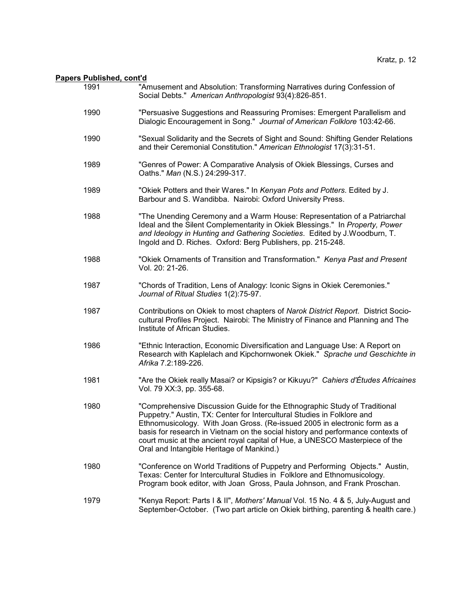| 1991 | "Amusement and Absolution: Transforming Narratives during Confession of<br>Social Debts." American Anthropologist 93(4):826-851.                                                                                                                                                                                                                                                                                                                  |
|------|---------------------------------------------------------------------------------------------------------------------------------------------------------------------------------------------------------------------------------------------------------------------------------------------------------------------------------------------------------------------------------------------------------------------------------------------------|
| 1990 | "Persuasive Suggestions and Reassuring Promises: Emergent Parallelism and<br>Dialogic Encouragement in Song." Journal of American Folklore 103:42-66.                                                                                                                                                                                                                                                                                             |
| 1990 | "Sexual Solidarity and the Secrets of Sight and Sound: Shifting Gender Relations<br>and their Ceremonial Constitution." American Ethnologist 17(3):31-51.                                                                                                                                                                                                                                                                                         |
| 1989 | "Genres of Power: A Comparative Analysis of Okiek Blessings, Curses and<br>Oaths." Man (N.S.) 24:299-317.                                                                                                                                                                                                                                                                                                                                         |
| 1989 | "Okiek Potters and their Wares." In Kenyan Pots and Potters. Edited by J.<br>Barbour and S. Wandibba. Nairobi: Oxford University Press.                                                                                                                                                                                                                                                                                                           |
| 1988 | "The Unending Ceremony and a Warm House: Representation of a Patriarchal<br>Ideal and the Silent Complementarity in Okiek Blessings." In Property, Power<br>and Ideology in Hunting and Gathering Societies. Edited by J. Woodburn, T.<br>Ingold and D. Riches. Oxford: Berg Publishers, pp. 215-248.                                                                                                                                             |
| 1988 | "Okiek Ornaments of Transition and Transformation." Kenya Past and Present<br>Vol. 20: 21-26.                                                                                                                                                                                                                                                                                                                                                     |
| 1987 | "Chords of Tradition, Lens of Analogy: Iconic Signs in Okiek Ceremonies."<br>Journal of Ritual Studies 1(2):75-97.                                                                                                                                                                                                                                                                                                                                |
| 1987 | Contributions on Okiek to most chapters of Narok District Report. District Socio-<br>cultural Profiles Project. Nairobi: The Ministry of Finance and Planning and The<br>Institute of African Studies.                                                                                                                                                                                                                                            |
| 1986 | "Ethnic Interaction, Economic Diversification and Language Use: A Report on<br>Research with Kaplelach and Kipchornwonek Okiek." Sprache und Geschichte in<br>Afrika 7.2:189-226.                                                                                                                                                                                                                                                                 |
| 1981 | "Are the Okiek really Masai? or Kipsigis? or Kikuyu?" Cahiers d'Études Africaines<br>Vol. 79 XX:3, pp. 355-68.                                                                                                                                                                                                                                                                                                                                    |
| 1980 | "Comprehensive Discussion Guide for the Ethnographic Study of Traditional<br>Puppetry." Austin, TX: Center for Intercultural Studies in Folklore and<br>Ethnomusicology. With Joan Gross. (Re-issued 2005 in electronic form as a<br>basis for research in Vietnam on the social history and performance contexts of<br>court music at the ancient royal capital of Hue, a UNESCO Masterpiece of the<br>Oral and Intangible Heritage of Mankind.) |
| 1980 | "Conference on World Traditions of Puppetry and Performing Objects." Austin,<br>Texas: Center for Intercultural Studies in Folklore and Ethnomusicology.<br>Program book editor, with Joan Gross, Paula Johnson, and Frank Proschan.                                                                                                                                                                                                              |
| 1979 | "Kenya Report: Parts I & II", Mothers' Manual Vol. 15 No. 4 & 5, July-August and<br>September-October. (Two part article on Okiek birthing, parenting & health care.)                                                                                                                                                                                                                                                                             |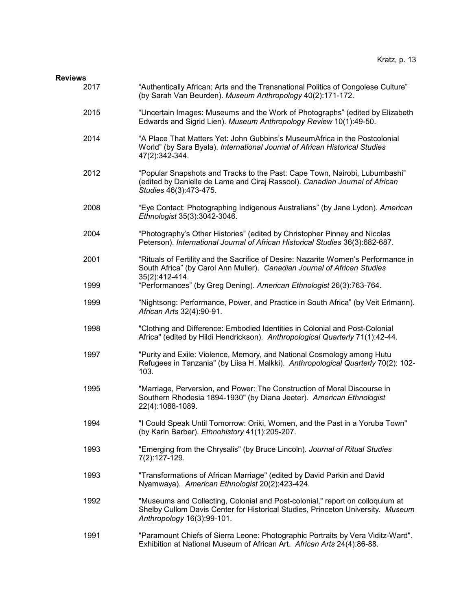### **Reviews**

| 2017 | "Authentically African: Arts and the Transnational Politics of Congolese Culture"<br>(by Sarah Van Beurden). Museum Anthropology 40(2):171-172.                                                |
|------|------------------------------------------------------------------------------------------------------------------------------------------------------------------------------------------------|
| 2015 | "Uncertain Images: Museums and the Work of Photographs" (edited by Elizabeth<br>Edwards and Sigrid Lien). Museum Anthropology Review 10(1):49-50.                                              |
| 2014 | "A Place That Matters Yet: John Gubbins's MuseumAfrica in the Postcolonial<br>World" (by Sara Byala). International Journal of African Historical Studies<br>47(2):342-344.                    |
| 2012 | "Popular Snapshots and Tracks to the Past: Cape Town, Nairobi, Lubumbashi"<br>(edited by Danielle de Lame and Ciraj Rassool). Canadian Journal of African<br>Studies 46(3):473-475.            |
| 2008 | "Eye Contact: Photographing Indigenous Australians" (by Jane Lydon). American<br>Ethnologist 35(3):3042-3046.                                                                                  |
| 2004 | "Photography's Other Histories" (edited by Christopher Pinney and Nicolas<br>Peterson). International Journal of African Historical Studies 36(3):682-687.                                     |
| 2001 | "Rituals of Fertility and the Sacrifice of Desire: Nazarite Women's Performance in<br>South Africa" (by Carol Ann Muller). Canadian Journal of African Studies<br>35(2):412-414.               |
| 1999 | "Performances" (by Greg Dening). American Ethnologist 26(3):763-764.                                                                                                                           |
| 1999 | "Nightsong: Performance, Power, and Practice in South Africa" (by Veit Erlmann).<br>African Arts 32(4):90-91.                                                                                  |
| 1998 | "Clothing and Difference: Embodied Identities in Colonial and Post-Colonial<br>Africa" (edited by Hildi Hendrickson). Anthropological Quarterly 71(1):42-44.                                   |
| 1997 | "Purity and Exile: Violence, Memory, and National Cosmology among Hutu<br>Refugees in Tanzania" (by Liisa H. Malkki). Anthropological Quarterly 70(2): 102-<br>103.                            |
| 1995 | "Marriage, Perversion, and Power: The Construction of Moral Discourse in<br>Southern Rhodesia 1894-1930" (by Diana Jeeter). American Ethnologist<br>22(4):1088-1089.                           |
| 1994 | "I Could Speak Until Tomorrow: Oriki, Women, and the Past in a Yoruba Town"<br>(by Karin Barber). Ethnohistory 41(1):205-207.                                                                  |
| 1993 | "Emerging from the Chrysalis" (by Bruce Lincoln). Journal of Ritual Studies<br>7(2):127-129.                                                                                                   |
| 1993 | "Transformations of African Marriage" (edited by David Parkin and David<br>Nyamwaya). American Ethnologist 20(2):423-424.                                                                      |
| 1992 | "Museums and Collecting, Colonial and Post-colonial," report on colloquium at<br>Shelby Cullom Davis Center for Historical Studies, Princeton University. Museum<br>Anthropology 16(3):99-101. |
| 1991 | "Paramount Chiefs of Sierra Leone: Photographic Portraits by Vera Viditz-Ward".<br>Exhibition at National Museum of African Art. African Arts 24(4):86-88.                                     |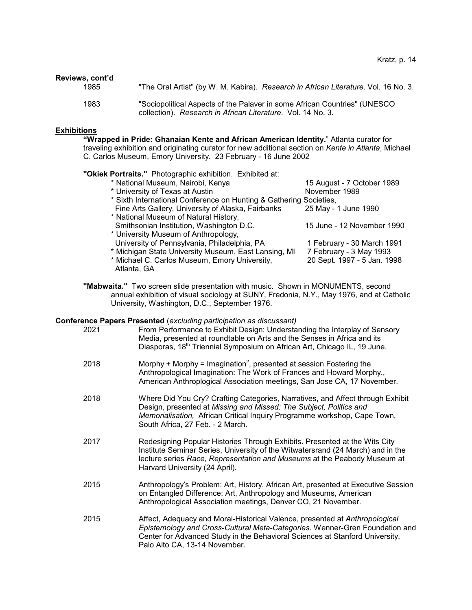| Reviews, cont'd |                                                                                                                                          |
|-----------------|------------------------------------------------------------------------------------------------------------------------------------------|
| 1985            | "The Oral Artist" (by W. M. Kabira). Research in African Literature. Vol. 16 No. 3.                                                      |
| 1983            | "Sociopolitical Aspects of the Palaver in some African Countries" (UNESCO<br>collection). Research in African Literature. Vol. 14 No. 3. |

### **Exhibitions**

**"Wrapped in Pride: Ghanaian Kente and African American Identity.**" Atlanta curator for traveling exhibition and originating curator for new additional section on *Kente in Atlanta*, Michael C. Carlos Museum, Emory University. 23 February - 16 June 2002

### **"Okiek Portraits."** Photographic exhibition. Exhibited at:

| * National Museum, Nairobi, Kenya                                  | 15 August - 7 October 1989  |
|--------------------------------------------------------------------|-----------------------------|
| * University of Texas at Austin                                    | November 1989               |
| * Sixth International Conference on Hunting & Gathering Societies, |                             |
| Fine Arts Gallery, University of Alaska, Fairbanks                 | 25 May - 1 June 1990        |
| * National Museum of Natural History,                              |                             |
| Smithsonian Institution, Washington D.C.                           | 15 June - 12 November 1990  |
| * University Museum of Anthropology,                               |                             |
| University of Pennsylvania, Philadelphia, PA                       | 1 February - 30 March 1991  |
| * Michigan State University Museum, East Lansing, MI               | 7 February - 3 May 1993     |
| * Michael C. Carlos Museum, Emory University,                      | 20 Sept. 1997 - 5 Jan. 1998 |
| Atlanta, GA                                                        |                             |

**"Mabwaita."** Two screen slide presentation with music. Shown in MONUMENTS, second annual exhibition of visual sociology at SUNY, Fredonia, N.Y., May 1976, and at Catholic University, Washington, D.C., September 1976.

### **Conference Papers Presented** (*excluding participation as discussant)*

| 2021 | choc's apers i resented (explaining participation as disodesdrift)<br>From Performance to Exhibit Design: Understanding the Interplay of Sensory<br>Media, presented at roundtable on Arts and the Senses in Africa and its<br>Diasporas, 18 <sup>th</sup> Triennial Symposium on African Art, Chicago IL, 19 June. |
|------|---------------------------------------------------------------------------------------------------------------------------------------------------------------------------------------------------------------------------------------------------------------------------------------------------------------------|
| 2018 | Morphy + Morphy = Imagination <sup>2</sup> , presented at session Fostering the<br>Anthropological Imagination: The Work of Frances and Howard Morphy.,<br>American Anthroplogical Association meetings, San Jose CA, 17 November.                                                                                  |
| 2018 | Where Did You Cry? Crafting Categories, Narratives, and Affect through Exhibit<br>Design, presented at Missing and Missed: The Subject, Politics and<br>Memorialisation, African Critical Inquiry Programme workshop, Cape Town,<br>South Africa, 27 Feb. - 2 March.                                                |
| 2017 | Redesigning Popular Histories Through Exhibits. Presented at the Wits City<br>Institute Seminar Series, University of the Witwatersrand (24 March) and in the<br>lecture series Race, Representation and Museums at the Peabody Museum at<br>Harvard University (24 April).                                         |
| 2015 | Anthropology's Problem: Art, History, African Art, presented at Executive Session<br>on Entangled Difference: Art, Anthropology and Museums, American<br>Anthropological Association meetings, Denver CO, 21 November.                                                                                              |
| 2015 | Affect, Adequacy and Moral-Historical Valence, presented at Anthropological<br>Epistemology and Cross-Cultural Meta-Categories. Wenner-Gren Foundation and<br>Center for Advanced Study in the Behavioral Sciences at Stanford University,<br>Palo Alto CA, 13-14 November.                                         |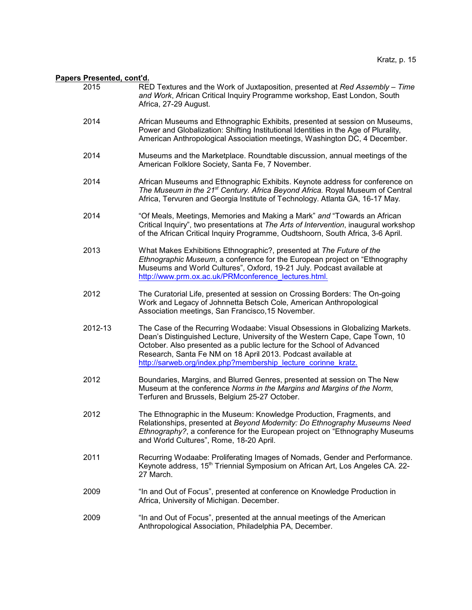| <u>ers Presented, cont'd.</u> |                                                                                                                                                                                                                                                                                                                                                                        |
|-------------------------------|------------------------------------------------------------------------------------------------------------------------------------------------------------------------------------------------------------------------------------------------------------------------------------------------------------------------------------------------------------------------|
| 2015                          | RED Textures and the Work of Juxtaposition, presented at Red Assembly - Time<br>and Work, African Critical Inquiry Programme workshop, East London, South<br>Africa, 27-29 August.                                                                                                                                                                                     |
| 2014                          | African Museums and Ethnographic Exhibits, presented at session on Museums,<br>Power and Globalization: Shifting Institutional Identities in the Age of Plurality,<br>American Anthropological Association meetings, Washington DC, 4 December.                                                                                                                        |
| 2014                          | Museums and the Marketplace. Roundtable discussion, annual meetings of the<br>American Folklore Society, Santa Fe, 7 November.                                                                                                                                                                                                                                         |
| 2014                          | African Museums and Ethnographic Exhibits. Keynote address for conference on<br>The Museum in the 21 <sup>st</sup> Century. Africa Beyond Africa. Royal Museum of Central<br>Africa, Tervuren and Georgia Institute of Technology. Atlanta GA, 16-17 May.                                                                                                              |
| 2014                          | "Of Meals, Meetings, Memories and Making a Mark" and "Towards an African<br>Critical Inquiry", two presentations at The Arts of Intervention, inaugural workshop<br>of the African Critical Inquiry Programme, Oudtshoorn, South Africa, 3-6 April.                                                                                                                    |
| 2013                          | What Makes Exhibitions Ethnographic?, presented at The Future of the<br>Ethnographic Museum, a conference for the European project on "Ethnography"<br>Museums and World Cultures", Oxford, 19-21 July. Podcast available at<br>http://www.prm.ox.ac.uk/PRMconference lectures.html.                                                                                   |
| 2012                          | The Curatorial Life, presented at session on Crossing Borders: The On-going<br>Work and Legacy of Johnnetta Betsch Cole, American Anthropological<br>Association meetings, San Francisco, 15 November.                                                                                                                                                                 |
| 2012-13                       | The Case of the Recurring Wodaabe: Visual Obsessions in Globalizing Markets.<br>Dean's Distinguished Lecture, University of the Western Cape, Cape Town, 10<br>October. Also presented as a public lecture for the School of Advanced<br>Research, Santa Fe NM on 18 April 2013. Podcast available at<br>http://sarweb.org/index.php?membership_lecture_corinne_kratz. |
| 2012                          | Boundaries, Margins, and Blurred Genres, presented at session on The New<br>Museum at the conference Norms in the Margins and Margins of the Norm,<br>Terfuren and Brussels, Belgium 25-27 October.                                                                                                                                                                    |
| 2012                          | The Ethnographic in the Museum: Knowledge Production, Fragments, and<br>Relationships, presented at Beyond Modernity: Do Ethnography Museums Need<br>Ethnography?, a conference for the European project on "Ethnography Museums"<br>and World Cultures", Rome, 18-20 April.                                                                                           |
| 2011                          | Recurring Wodaabe: Proliferating Images of Nomads, Gender and Performance.<br>Keynote address, 15 <sup>th</sup> Triennial Symposium on African Art, Los Angeles CA. 22-<br>27 March.                                                                                                                                                                                   |
| 2009                          | "In and Out of Focus", presented at conference on Knowledge Production in<br>Africa, University of Michigan. December.                                                                                                                                                                                                                                                 |
| 2009                          | "In and Out of Focus", presented at the annual meetings of the American<br>Anthropological Association, Philadelphia PA, December.                                                                                                                                                                                                                                     |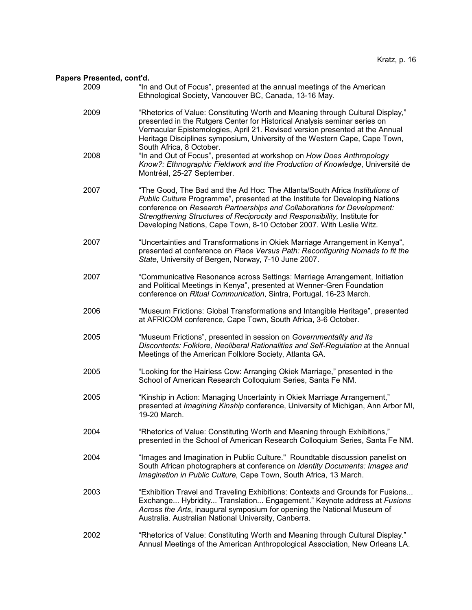| 2009 | "In and Out of Focus", presented at the annual meetings of the American<br>Ethnological Society, Vancouver BC, Canada, 13-16 May.                                                                                                                                                                                                                                                          |
|------|--------------------------------------------------------------------------------------------------------------------------------------------------------------------------------------------------------------------------------------------------------------------------------------------------------------------------------------------------------------------------------------------|
| 2009 | "Rhetorics of Value: Constituting Worth and Meaning through Cultural Display,"<br>presented in the Rutgers Center for Historical Analysis seminar series on<br>Vernacular Epistemologies, April 21. Revised version presented at the Annual<br>Heritage Disciplines symposium, University of the Western Cape, Cape Town,<br>South Africa, 8 October.                                      |
| 2008 | "In and Out of Focus", presented at workshop on How Does Anthropology<br>Know?: Ethnographic Fieldwork and the Production of Knowledge, Université de<br>Montréal, 25-27 September.                                                                                                                                                                                                        |
| 2007 | "The Good, The Bad and the Ad Hoc: The Atlanta/South Africa Institutions of<br>Public Culture Programme", presented at the Institute for Developing Nations<br>conference on Research Partnerships and Collaborations for Development:<br>Strengthening Structures of Reciprocity and Responsibility, Institute for<br>Developing Nations, Cape Town, 8-10 October 2007. With Leslie Witz. |
| 2007 | "Uncertainties and Transformations in Okiek Marriage Arrangement in Kenya",<br>presented at conference on Place Versus Path: Reconfiguring Nomads to fit the<br>State, University of Bergen, Norway, 7-10 June 2007.                                                                                                                                                                       |
| 2007 | "Communicative Resonance across Settings: Marriage Arrangement, Initiation<br>and Political Meetings in Kenya", presented at Wenner-Gren Foundation<br>conference on Ritual Communication, Sintra, Portugal, 16-23 March.                                                                                                                                                                  |
| 2006 | "Museum Frictions: Global Transformations and Intangible Heritage", presented<br>at AFRICOM conference, Cape Town, South Africa, 3-6 October.                                                                                                                                                                                                                                              |
| 2005 | "Museum Frictions", presented in session on Governmentality and its<br>Discontents: Folklore, Neoliberal Rationalities and Self-Regulation at the Annual<br>Meetings of the American Folklore Society, Atlanta GA.                                                                                                                                                                         |
| 2005 | "Looking for the Hairless Cow: Arranging Okiek Marriage," presented in the<br>School of American Research Colloquium Series, Santa Fe NM.                                                                                                                                                                                                                                                  |
| 2005 | "Kinship in Action: Managing Uncertainty in Okiek Marriage Arrangement,"<br>presented at Imagining Kinship conference, University of Michigan, Ann Arbor MI,<br>19-20 March.                                                                                                                                                                                                               |
| 2004 | "Rhetorics of Value: Constituting Worth and Meaning through Exhibitions,"<br>presented in the School of American Research Colloquium Series, Santa Fe NM.                                                                                                                                                                                                                                  |
| 2004 | "Images and Imagination in Public Culture." Roundtable discussion panelist on<br>South African photographers at conference on Identity Documents: Images and<br>Imagination in Public Culture, Cape Town, South Africa, 13 March.                                                                                                                                                          |
| 2003 | "Exhibition Travel and Traveling Exhibitions: Contexts and Grounds for Fusions<br>Exchange Hybridity Translation Engagement." Keynote address at Fusions<br>Across the Arts, inaugural symposium for opening the National Museum of<br>Australia. Australian National University, Canberra.                                                                                                |
| 2002 | "Rhetorics of Value: Constituting Worth and Meaning through Cultural Display."<br>Annual Meetings of the American Anthropological Association, New Orleans LA.                                                                                                                                                                                                                             |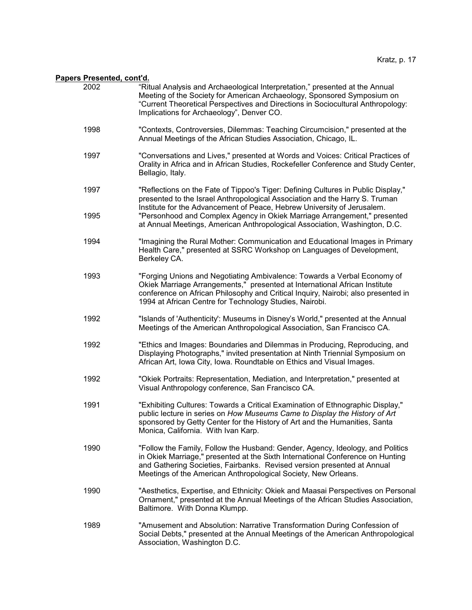| 2002 | "Ritual Analysis and Archaeological Interpretation," presented at the Annual<br>Meeting of the Society for American Archaeology, Sponsored Symposium on<br>"Current Theoretical Perspectives and Directions in Sociocultural Anthropology:<br>Implications for Archaeology", Denver CO.                       |
|------|---------------------------------------------------------------------------------------------------------------------------------------------------------------------------------------------------------------------------------------------------------------------------------------------------------------|
| 1998 | "Contexts, Controversies, Dilemmas: Teaching Circumcision," presented at the<br>Annual Meetings of the African Studies Association, Chicago, IL.                                                                                                                                                              |
| 1997 | "Conversations and Lives," presented at Words and Voices: Critical Practices of<br>Orality in Africa and in African Studies, Rockefeller Conference and Study Center,<br>Bellagio, Italy.                                                                                                                     |
| 1997 | "Reflections on the Fate of Tippoo's Tiger: Defining Cultures in Public Display,"<br>presented to the Israel Anthropological Association and the Harry S. Truman<br>Institute for the Advancement of Peace, Hebrew University of Jerusalem.                                                                   |
| 1995 | "Personhood and Complex Agency in Okiek Marriage Arrangement," presented<br>at Annual Meetings, American Anthropological Association, Washington, D.C.                                                                                                                                                        |
| 1994 | "Imagining the Rural Mother: Communication and Educational Images in Primary<br>Health Care," presented at SSRC Workshop on Languages of Development,<br>Berkeley CA.                                                                                                                                         |
| 1993 | "Forging Unions and Negotiating Ambivalence: Towards a Verbal Economy of<br>Okiek Marriage Arrangements," presented at International African Institute<br>conference on African Philosophy and Critical Inquiry, Nairobi; also presented in<br>1994 at African Centre for Technology Studies, Nairobi.        |
| 1992 | "Islands of 'Authenticity': Museums in Disney's World," presented at the Annual<br>Meetings of the American Anthropological Association, San Francisco CA.                                                                                                                                                    |
| 1992 | "Ethics and Images: Boundaries and Dilemmas in Producing, Reproducing, and<br>Displaying Photographs," invited presentation at Ninth Triennial Symposium on<br>African Art, Iowa City, Iowa. Roundtable on Ethics and Visual Images.                                                                          |
| 1992 | "Okiek Portraits: Representation, Mediation, and Interpretation," presented at<br>Visual Anthropology conference, San Francisco CA.                                                                                                                                                                           |
| 1991 | "Exhibiting Cultures: Towards a Critical Examination of Ethnographic Display,"<br>public lecture in series on How Museums Came to Display the History of Art<br>sponsored by Getty Center for the History of Art and the Humanities, Santa<br>Monica, California. With Ivan Karp.                             |
| 1990 | "Follow the Family, Follow the Husband: Gender, Agency, Ideology, and Politics<br>in Okiek Marriage," presented at the Sixth International Conference on Hunting<br>and Gathering Societies, Fairbanks. Revised version presented at Annual<br>Meetings of the American Anthropological Society, New Orleans. |
| 1990 | "Aesthetics, Expertise, and Ethnicity: Okiek and Maasai Perspectives on Personal<br>Ornament," presented at the Annual Meetings of the African Studies Association,<br>Baltimore. With Donna Klumpp.                                                                                                          |
| 1989 | "Amusement and Absolution: Narrative Transformation During Confession of<br>Social Debts," presented at the Annual Meetings of the American Anthropological<br>Association, Washington D.C.                                                                                                                   |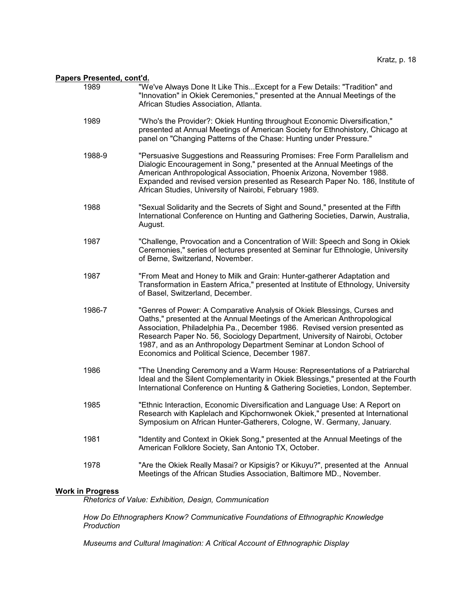- 1989 "We've Always Done It Like This...Except for a Few Details: "Tradition" and "Innovation" in Okiek Ceremonies," presented at the Annual Meetings of the African Studies Association, Atlanta.
- 1989 "Who's the Provider?: Okiek Hunting throughout Economic Diversification," presented at Annual Meetings of American Society for Ethnohistory, Chicago at panel on "Changing Patterns of the Chase: Hunting under Pressure."
- 1988-9 "Persuasive Suggestions and Reassuring Promises: Free Form Parallelism and Dialogic Encouragement in Song," presented at the Annual Meetings of the American Anthropological Association, Phoenix Arizona, November 1988. Expanded and revised version presented as Research Paper No. 186, Institute of African Studies, University of Nairobi, February 1989.
- 1988 "Sexual Solidarity and the Secrets of Sight and Sound," presented at the Fifth International Conference on Hunting and Gathering Societies, Darwin, Australia, August.
- 1987 "Challenge, Provocation and a Concentration of Will: Speech and Song in Okiek Ceremonies," series of lectures presented at Seminar fur Ethnologie, University of Berne, Switzerland, November.
- 1987 "From Meat and Honey to Milk and Grain: Hunter-gatherer Adaptation and Transformation in Eastern Africa," presented at Institute of Ethnology, University of Basel, Switzerland, December.
- 1986-7 "Genres of Power: A Comparative Analysis of Okiek Blessings, Curses and Oaths," presented at the Annual Meetings of the American Anthropological Association, Philadelphia Pa., December 1986. Revised version presented as Research Paper No. 56, Sociology Department, University of Nairobi, October 1987, and as an Anthropology Department Seminar at London School of Economics and Political Science, December 1987.
- 1986 "The Unending Ceremony and a Warm House: Representations of a Patriarchal Ideal and the Silent Complementarity in Okiek Blessings," presented at the Fourth International Conference on Hunting & Gathering Societies, London, September.
- 1985 "Ethnic Interaction, Economic Diversification and Language Use: A Report on Research with Kaplelach and Kipchornwonek Okiek," presented at International Symposium on African Hunter-Gatherers, Cologne, W. Germany, January.
- 1981 "Identity and Context in Okiek Song," presented at the Annual Meetings of the American Folklore Society, San Antonio TX, October.
- 1978 "Are the Okiek Really Masai? or Kipsigis? or Kikuyu?", presented at the Annual Meetings of the African Studies Association, Baltimore MD., November.

### **Work in Progress**

*Rhetorics of Value: Exhibition, Design, Communication*

*How Do Ethnographers Know? Communicative Foundations of Ethnographic Knowledge Production*

*Museums and Cultural Imagination: A Critical Account of Ethnographic Display*